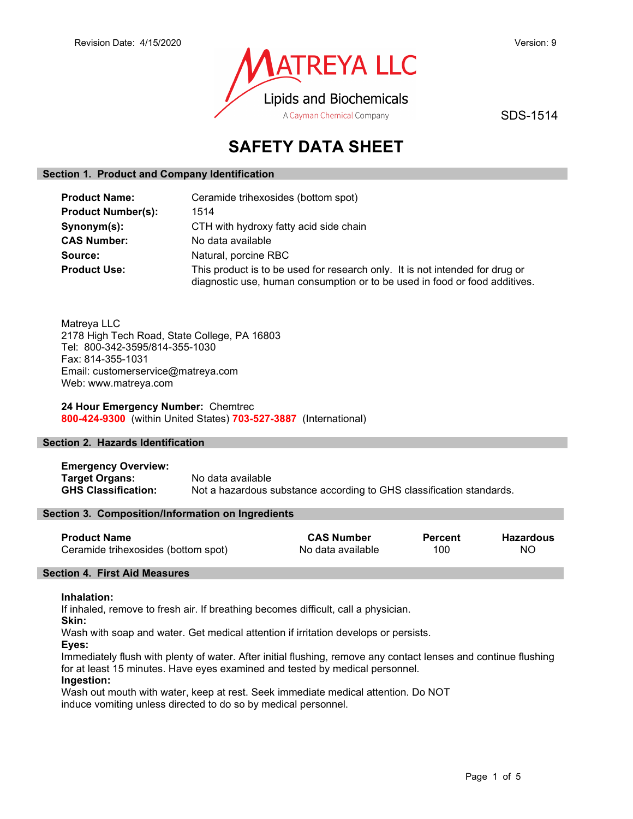

SDS-1514

# SAFETY DATA SHEET

### Section 1. Product and Company Identification

| <b>Product Name:</b>      | Ceramide trihexosides (bottom spot)                                                                                                                        |
|---------------------------|------------------------------------------------------------------------------------------------------------------------------------------------------------|
| <b>Product Number(s):</b> | 1514                                                                                                                                                       |
| Synonym(s):               | CTH with hydroxy fatty acid side chain                                                                                                                     |
| <b>CAS Number:</b>        | No data available                                                                                                                                          |
| Source:                   | Natural, porcine RBC                                                                                                                                       |
| <b>Product Use:</b>       | This product is to be used for research only. It is not intended for drug or<br>diagnostic use, human consumption or to be used in food or food additives. |

Matreya LLC 2178 High Tech Road, State College, PA 16803 Tel: 800-342-3595/814-355-1030 Fax: 814-355-1031 Email: customerservice@matreya.com Web: www.matreya.com

24 Hour Emergency Number: Chemtrec 800-424-9300 (within United States) 703-527-3887 (International)

### Section 2. Hazards Identification

Emergency Overview: Target Organs: No data available GHS Classification: Not a hazardous substance according to GHS classification standards.

### Section 3. Composition/Information on Ingredients

| <b>Product Name</b>                 | <b>CAS Number</b> | <b>Percent</b> | Hazardous |
|-------------------------------------|-------------------|----------------|-----------|
| Ceramide trihexosides (bottom spot) | No data available | 100            | NO.       |

### Section 4. First Aid Measures

### Inhalation:

If inhaled, remove to fresh air. If breathing becomes difficult, call a physician.

Skin:

Wash with soap and water. Get medical attention if irritation develops or persists.

Eyes:

Immediately flush with plenty of water. After initial flushing, remove any contact lenses and continue flushing for at least 15 minutes. Have eyes examined and tested by medical personnel.

### Ingestion:

Wash out mouth with water, keep at rest. Seek immediate medical attention. Do NOT induce vomiting unless directed to do so by medical personnel.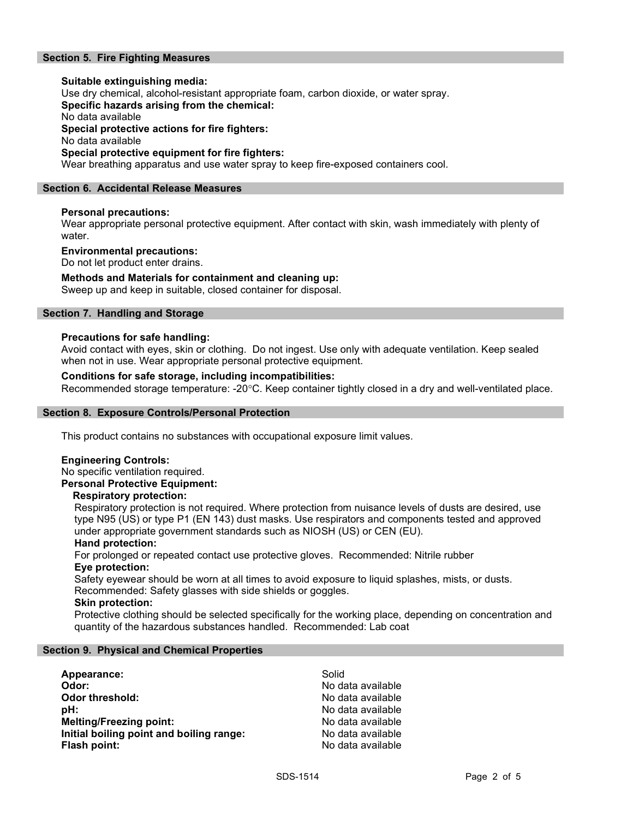### Section 5. Fire Fighting Measures

### Suitable extinguishing media: Use dry chemical, alcohol-resistant appropriate foam, carbon dioxide, or water spray. Specific hazards arising from the chemical: No data available Special protective actions for fire fighters: No data available Special protective equipment for fire fighters:

Wear breathing apparatus and use water spray to keep fire-exposed containers cool.

### Section 6. Accidental Release Measures

### Personal precautions:

Wear appropriate personal protective equipment. After contact with skin, wash immediately with plenty of water.

### Environmental precautions:

Do not let product enter drains.

### Methods and Materials for containment and cleaning up:

Sweep up and keep in suitable, closed container for disposal.

### Section 7. Handling and Storage

### Precautions for safe handling:

Avoid contact with eyes, skin or clothing. Do not ingest. Use only with adequate ventilation. Keep sealed when not in use. Wear appropriate personal protective equipment.

### Conditions for safe storage, including incompatibilities:

Recommended storage temperature: -20°C. Keep container tightly closed in a dry and well-ventilated place.

### Section 8. Exposure Controls/Personal Protection

This product contains no substances with occupational exposure limit values.

### Engineering Controls:

No specific ventilation required. Personal Protective Equipment:

### Respiratory protection:

Respiratory protection is not required. Where protection from nuisance levels of dusts are desired, use type N95 (US) or type P1 (EN 143) dust masks. Use respirators and components tested and approved under appropriate government standards such as NIOSH (US) or CEN (EU).

### Hand protection:

For prolonged or repeated contact use protective gloves. Recommended: Nitrile rubber Eye protection:

Safety eyewear should be worn at all times to avoid exposure to liquid splashes, mists, or dusts. Recommended: Safety glasses with side shields or goggles.

### Skin protection:

Protective clothing should be selected specifically for the working place, depending on concentration and quantity of the hazardous substances handled. Recommended: Lab coat

### Section 9. Physical and Chemical Properties

| Appearance:                              | Solid             |
|------------------------------------------|-------------------|
| Odor:                                    | No data available |
| <b>Odor threshold:</b>                   | No data available |
| pH:                                      | No data available |
| <b>Melting/Freezing point:</b>           | No data available |
| Initial boiling point and boiling range: | No data available |
| Flash point:                             | No data available |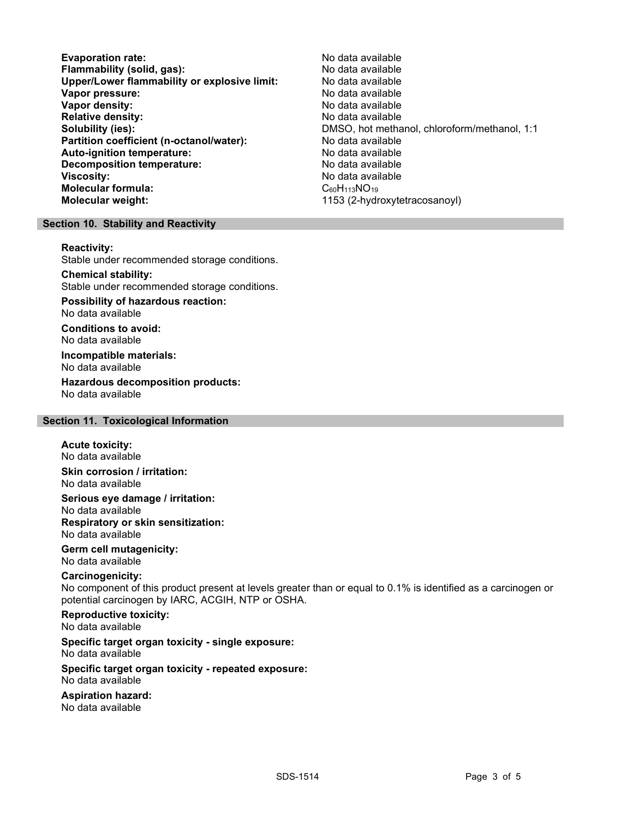Evaporation rate: No data available Flammability (solid, gas):<br>
Upper/Lower flammability or explosive limit: No data available Upper/Lower flammability or explosive limit: Vapor pressure:  $\blacksquare$ Vapor density: No data available Relative density:<br>
Solubility (ies):<br>
Solubility (ies):<br>
No data available<br>
DMSO, hot metha Partition coefficient (n-octanol/water): No data available Auto-ignition temperature: No data available Decomposition temperature: No data available Viscosity: No data available Molecular formula: C60H113NO19 Molecular weight: 1153 (2-hydroxytetracosanoyl)

DMSO, hot methanol, chloroform/methanol, 1:1

### Section 10. Stability and Reactivity

#### Reactivity:

Stable under recommended storage conditions.

### Chemical stability:

Stable under recommended storage conditions.

## Possibility of hazardous reaction:

No data available

Conditions to avoid: No data available

#### Incompatible materials: No data available

Hazardous decomposition products: No data available

### Section 11. Toxicological Information

#### Acute toxicity: No data available

Skin corrosion / irritation: No data available

Serious eye damage / irritation: No data available Respiratory or skin sensitization: No data available

Germ cell mutagenicity: No data available

### Carcinogenicity:

No component of this product present at levels greater than or equal to 0.1% is identified as a carcinogen or potential carcinogen by IARC, ACGIH, NTP or OSHA.

Reproductive toxicity:

No data available

### Specific target organ toxicity - single exposure:

No data available

#### Specific target organ toxicity - repeated exposure: No data available

Aspiration hazard:

No data available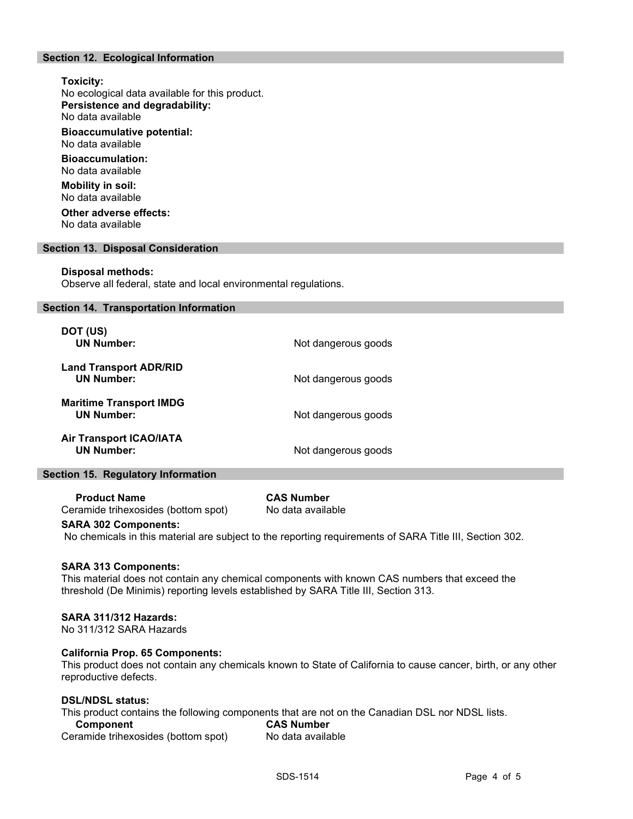### Section 12. Ecological Information

### Toxicity: No ecological data available for this product. Persistence and degradability: No data available

Bioaccumulative potential: No data available

Bioaccumulation: No data available

Mobility in soil: No data available

Other adverse effects: No data available

### Section 13. Disposal Consideration

### Disposal methods:

Observe all federal, state and local environmental regulations.

### Section 14. Transportation Information

| DOT (US)<br><b>UN Number:</b>                       | Not dangerous goods |
|-----------------------------------------------------|---------------------|
| <b>Land Transport ADR/RID</b><br><b>UN Number:</b>  | Not dangerous goods |
| <b>Maritime Transport IMDG</b><br><b>UN Number:</b> | Not dangerous goods |
| <b>Air Transport ICAO/IATA</b><br><b>UN Number:</b> | Not dangerous goods |

### Section 15. Regulatory Information

Product Name CAS Number Ceramide trihexosides (bottom spot) No data available

### SARA 302 Components:

No chemicals in this material are subject to the reporting requirements of SARA Title III, Section 302.

### SARA 313 Components:

This material does not contain any chemical components with known CAS numbers that exceed the threshold (De Minimis) reporting levels established by SARA Title III, Section 313.

### SARA 311/312 Hazards:

No 311/312 SARA Hazards

### California Prop. 65 Components:

This product does not contain any chemicals known to State of California to cause cancer, birth, or any other reproductive defects.

### DSL/NDSL status:

This product contains the following components that are not on the Canadian DSL nor NDSL lists.<br>Component CAS Number

**Component** Ceramide trihexosides (bottom spot) No data available